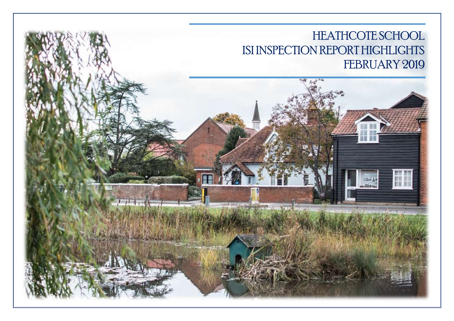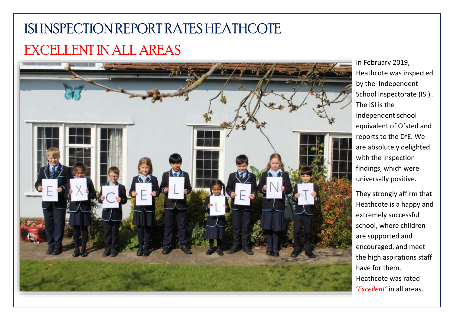## ISI INSPECTION REPORT RATES HEATHCOTE EXCELLENT IN ALL AREAS



In February 2019, Heathcote was inspected by the Independent School Inspectorate (ISI) . The ISI is the independent school equivalent of Ofsted and reports to the DfE. We are absolutely delighted with the inspection findings, which were universally positive.

They strongly affirm that Heathcote is a happy and extremely successful school, where children are supported and encouraged, and meet the high aspirations staff have for them. Heathcote was rated '*Excellent*' in all areas.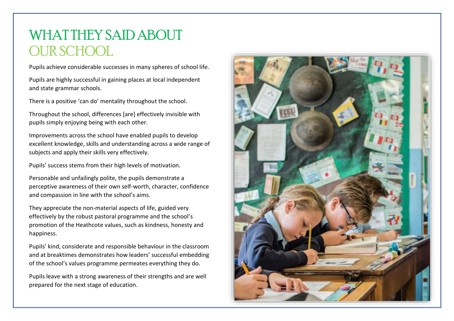## WHAT THEY SAID ABOUT OUR SCHOOL

Pupils achieve considerable successes in many spheres of school life.

Pupils are highly successful in gaining places at local independent and state grammar schools.

There is a positive 'can do' mentality throughout the school.

Throughout the school, differences [are] effectively invisible with pupils simply enjoying being with each other.

Improvements across the school have enabled pupils to develop excellent knowledge, skills and understanding across a wide range of subjects and apply their skills very effectively.

Pupils' success stems from their high levels of motivation.

Personable and unfailingly polite, the pupils demonstrate a perceptive awareness of their own self-worth, character, confidence and compassion in line with the school's aims.

They appreciate the non-material aspects of life, guided very effectively by the robust pastoral programme and the school's promotion of the Heathcote values, such as kindness, honesty and happiness.

Pupils' kind, considerate and responsible behaviour in the classroom and at breaktimes demonstrates how leaders' successful embedding of the school's values programme permeates everything they do.

Pupils leave with a strong awareness of their strengths and are well prepared for the next stage of education.

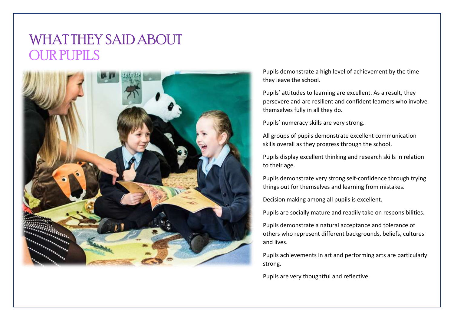## WHAT THEY SAID ABOUT OUR PUPILS



Pupils demonstrate a high level of achievement by the time they leave the school.

Pupils' attitudes to learning are excellent. As a result, they persevere and are resilient and confident learners who involve themselves fully in all they do.

Pupils' numeracy skills are very strong.

All groups of pupils demonstrate excellent communication skills overall as they progress through the school.

Pupils display excellent thinking and research skills in relation to their age.

Pupils demonstrate very strong self-confidence through trying things out for themselves and learning from mistakes.

Decision making among all pupils is excellent.

Pupils are socially mature and readily take on responsibilities.

Pupils demonstrate a natural acceptance and tolerance of others who represent different backgrounds, beliefs, cultures and lives.

Pupils achievements in art and performing arts are particularly strong.

Pupils are very thoughtful and reflective.